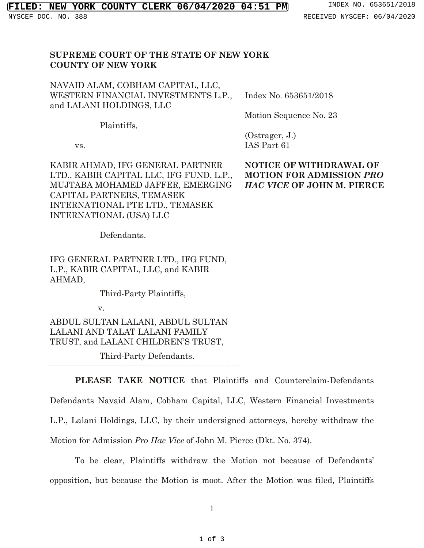**SUPREME COURT OF THE STATE OF NEW YORK**

| <b>COUNTY OF NEW YORK</b>                                                                                                                                                                                                  |                                                                                                 |
|----------------------------------------------------------------------------------------------------------------------------------------------------------------------------------------------------------------------------|-------------------------------------------------------------------------------------------------|
| NAVAID ALAM, COBHAM CAPITAL, LLC,<br>WESTERN FINANCIAL INVESTMENTS L.P.,<br>and LALANI HOLDINGS, LLC<br>Plaintiffs,<br>VS.                                                                                                 | Index No. 653651/2018<br>Motion Sequence No. 23<br>(Ostrager, J.)<br>IAS Part 61                |
| KABIR AHMAD, IFG GENERAL PARTNER<br>LTD., KABIR CAPITAL LLC, IFG FUND, L.P.,<br>MUJTABA MOHAMED JAFFER, EMERGING<br>CAPITAL PARTNERS, TEMASEK<br>INTERNATIONAL PTE LTD., TEMASEK<br>INTERNATIONAL (USA) LLC<br>Defendants. | <b>NOTICE OF WITHDRAWAL OF</b><br><b>MOTION FOR ADMISSION PRO</b><br>HAC VICE OF JOHN M. PIERCE |
| IFG GENERAL PARTNER LTD., IFG FUND,<br>L.P., KABIR CAPITAL, LLC, and KABIR<br>AHMAD,<br>Third-Party Plaintiffs,<br>V.                                                                                                      |                                                                                                 |
| ABDUL SULTAN LALANI, ABDUL SULTAN<br>LALANI AND TALAT LALANI FAMILY<br>TRUST, and LALANI CHILDREN'S TRUST,<br>Third-Party Defendants.                                                                                      |                                                                                                 |

**PLEASE TAKE NOTICE** that Plaintiffs and Counterclaim-Defendants Defendants Navaid Alam, Cobham Capital, LLC, Western Financial Investments L.P., Lalani Holdings, LLC, by their undersigned attorneys, hereby withdraw the Motion for Admission *Pro Hac Vice* of John M. Pierce (Dkt. No. 374).

To be clear, Plaintiffs withdraw the Motion not because of Defendants' opposition, but because the Motion is moot. After the Motion was filed, Plaintiffs

1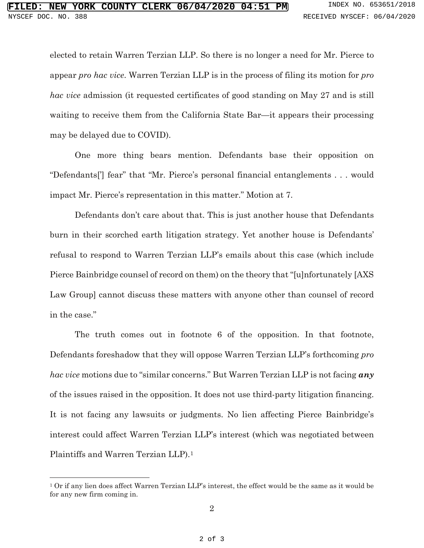elected to retain Warren Terzian LLP. So there is no longer a need for Mr. Pierce to appear *pro hac vice*. Warren Terzian LLP is in the process of filing its motion for *pro hac vice* admission (it requested certificates of good standing on May 27 and is still waiting to receive them from the California State Bar—it appears their processing may be delayed due to COVID).

One more thing bears mention. Defendants base their opposition on "Defendants['] fear" that "Mr. Pierce's personal financial entanglements . . . would impact Mr. Pierce's representation in this matter." Motion at 7.

Defendants don't care about that. This is just another house that Defendants burn in their scorched earth litigation strategy. Yet another house is Defendants' refusal to respond to Warren Terzian LLP's emails about this case (which include Pierce Bainbridge counsel of record on them) on the theory that "[u]nfortunately [AXS Law Group] cannot discuss these matters with anyone other than counsel of record in the case."

The truth comes out in footnote 6 of the opposition. In that footnote, Defendants foreshadow that they will oppose Warren Terzian LLP's forthcoming *pro hac vice* motions due to "similar concerns." But Warren Terzian LLP is not facing *any*  of the issues raised in the opposition. It does not use third-party litigation financing. It is not facing any lawsuits or judgments. No lien affecting Pierce Bainbridge's interest could affect Warren Terzian LLP's interest (which was negotiated between Plaintiffs and Warren Terzian LLP).[1](#page-1-0)

<span id="page-1-0"></span><sup>1</sup> Or if any lien does affect Warren Terzian LLP's interest, the effect would be the same as it would be for any new firm coming in.